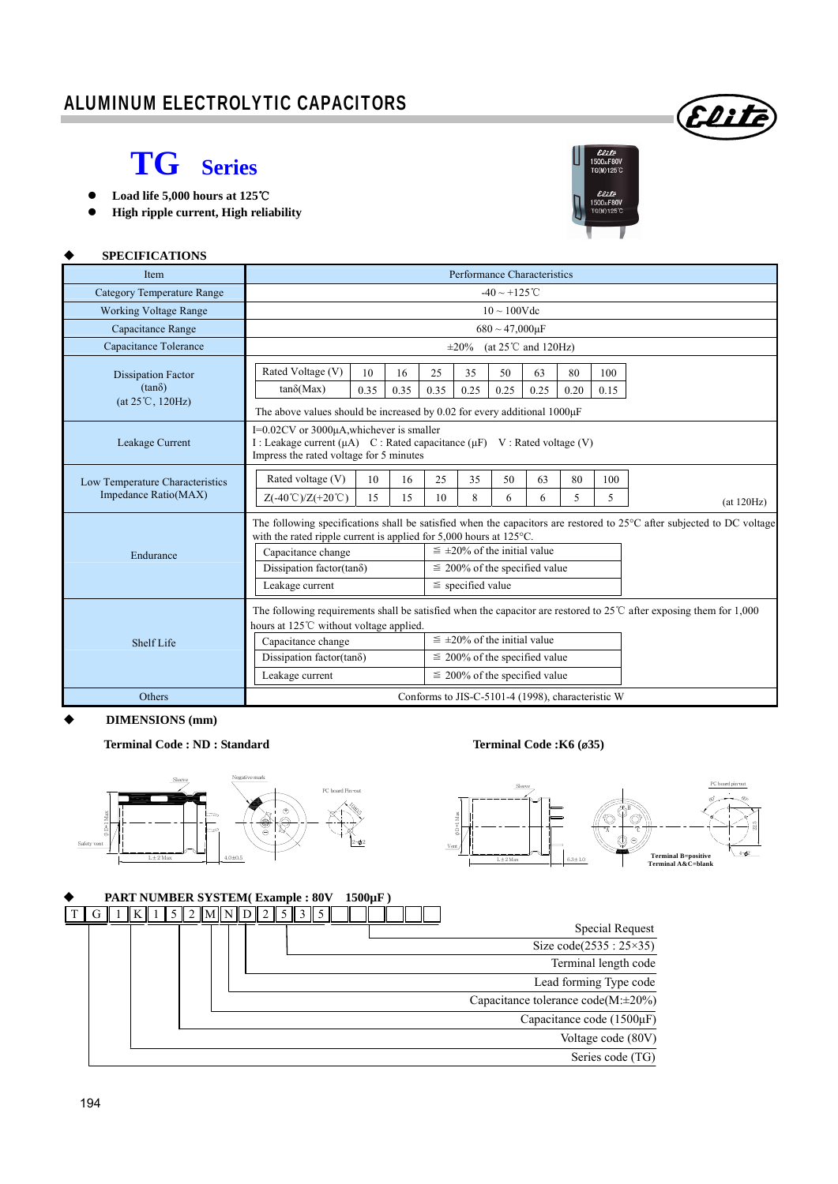# **TG Series**

- **Load life 5,000 hours at 125**℃
- **High ripple current, High reliability**



Eliti

#### **SPECIFICATIONS**

| <b>Item</b>                       | Performance Characteristics                                                                                                                                                                  |      |                       |                                      |                                    |                                      |                                                   |      |      |            |  |  |  |
|-----------------------------------|----------------------------------------------------------------------------------------------------------------------------------------------------------------------------------------------|------|-----------------------|--------------------------------------|------------------------------------|--------------------------------------|---------------------------------------------------|------|------|------------|--|--|--|
| <b>Category Temperature Range</b> | $-40 \sim +125$ °C                                                                                                                                                                           |      |                       |                                      |                                    |                                      |                                                   |      |      |            |  |  |  |
| <b>Working Voltage Range</b>      | $10 \sim 100$ Vdc                                                                                                                                                                            |      |                       |                                      |                                    |                                      |                                                   |      |      |            |  |  |  |
| Capacitance Range                 | $680 \sim 47,000 \mu F$                                                                                                                                                                      |      |                       |                                      |                                    |                                      |                                                   |      |      |            |  |  |  |
| Capacitance Tolerance             | (at $25^{\circ}$ C and $120$ Hz)<br>$\pm 20\%$                                                                                                                                               |      |                       |                                      |                                    |                                      |                                                   |      |      |            |  |  |  |
| <b>Dissipation Factor</b>         | Rated Voltage (V)                                                                                                                                                                            | 10   | 16                    | 25                                   | 35                                 | 50                                   | 63                                                | 80   | 100  |            |  |  |  |
| $(tan\delta)$                     | $tan\delta(Max)$                                                                                                                                                                             | 0.35 | 0.35                  | 0.35                                 | 0.25                               | 0.25                                 | 0.25                                              | 0.20 | 0.15 |            |  |  |  |
| $(at 25^{\circ}C, 120Hz)$         | The above values should be increased by 0.02 for every additional 1000 $\mu$ F                                                                                                               |      |                       |                                      |                                    |                                      |                                                   |      |      |            |  |  |  |
| Leakage Current                   | I= $0.02$ CV or 3000 $\mu$ A, whichever is smaller<br>I: Leakage current $(\mu A)$ C: Rated capacitance $(\mu F)$ V: Rated voltage (V)<br>Impress the rated voltage for 5 minutes            |      |                       |                                      |                                    |                                      |                                                   |      |      |            |  |  |  |
| Low Temperature Characteristics   | Rated voltage (V)                                                                                                                                                                            | 10   | 16                    | 25                                   | 35                                 | 50                                   | 63                                                | 80   | 100  |            |  |  |  |
| Impedance Ratio(MAX)              | $Z(-40^{\circ}\text{C})/Z(+20^{\circ}\text{C})$                                                                                                                                              | 15   | 15                    | 10                                   | 8                                  | 6                                    | 6                                                 | 5    | 5    | (at 120Hz) |  |  |  |
|                                   | The following specifications shall be satisfied when the capacitors are restored to 25°C after subjected to DC voltage<br>with the rated ripple current is applied for 5,000 hours at 125°C. |      |                       |                                      |                                    |                                      |                                                   |      |      |            |  |  |  |
|                                   | Capacitance change                                                                                                                                                                           |      |                       | $\leq \pm 20\%$ of the initial value |                                    |                                      |                                                   |      |      |            |  |  |  |
| Endurance                         | Dissipation factor(tan $\delta$ )                                                                                                                                                            |      |                       |                                      | $\leq$ 200% of the specified value |                                      |                                                   |      |      |            |  |  |  |
|                                   | Leakage current                                                                                                                                                                              |      | $\le$ specified value |                                      |                                    |                                      |                                                   |      |      |            |  |  |  |
|                                   | The following requirements shall be satisfied when the capacitor are restored to $25^{\circ}$ C after exposing them for 1,000<br>hours at 125℃ without voltage applied.                      |      |                       |                                      |                                    |                                      |                                                   |      |      |            |  |  |  |
| Shelf Life                        | Capacitance change                                                                                                                                                                           |      |                       |                                      |                                    | $\leq \pm 20\%$ of the initial value |                                                   |      |      |            |  |  |  |
|                                   | Dissipation factor(tan $\delta$ )                                                                                                                                                            |      |                       |                                      | $\leq$ 200% of the specified value |                                      |                                                   |      |      |            |  |  |  |
|                                   | Leakage current                                                                                                                                                                              |      |                       |                                      |                                    |                                      | $\leq$ 200% of the specified value                |      |      |            |  |  |  |
| Others                            |                                                                                                                                                                                              |      |                       |                                      |                                    |                                      | Conforms to JIS-C-5101-4 (1998), characteristic W |      |      |            |  |  |  |

 **DIMENSIONS (mm)** 

**Terminal Code : ND : Standard Terminal Code :K6 (**ø**35)** 

 $L \pm 2$  Max  $4.0 \pm 0.5$ 

 D+1 Max Sleeve Safety vent  $PC$ 10±0.5 2- 2 Negative mark -  $_{\oplus}$ 



## **PART NUMBER SYSTEM( Example : 80V 1500µF )**  Special Request Size code(2535 : 25×35) Terminal length code Lead forming Type code Capacitance tolerance code(M:±20%) Capacitance code (1500μF) Voltage code (80V) Series code (TG) T G 1 K 1 5 2 M N D 2 5 3 5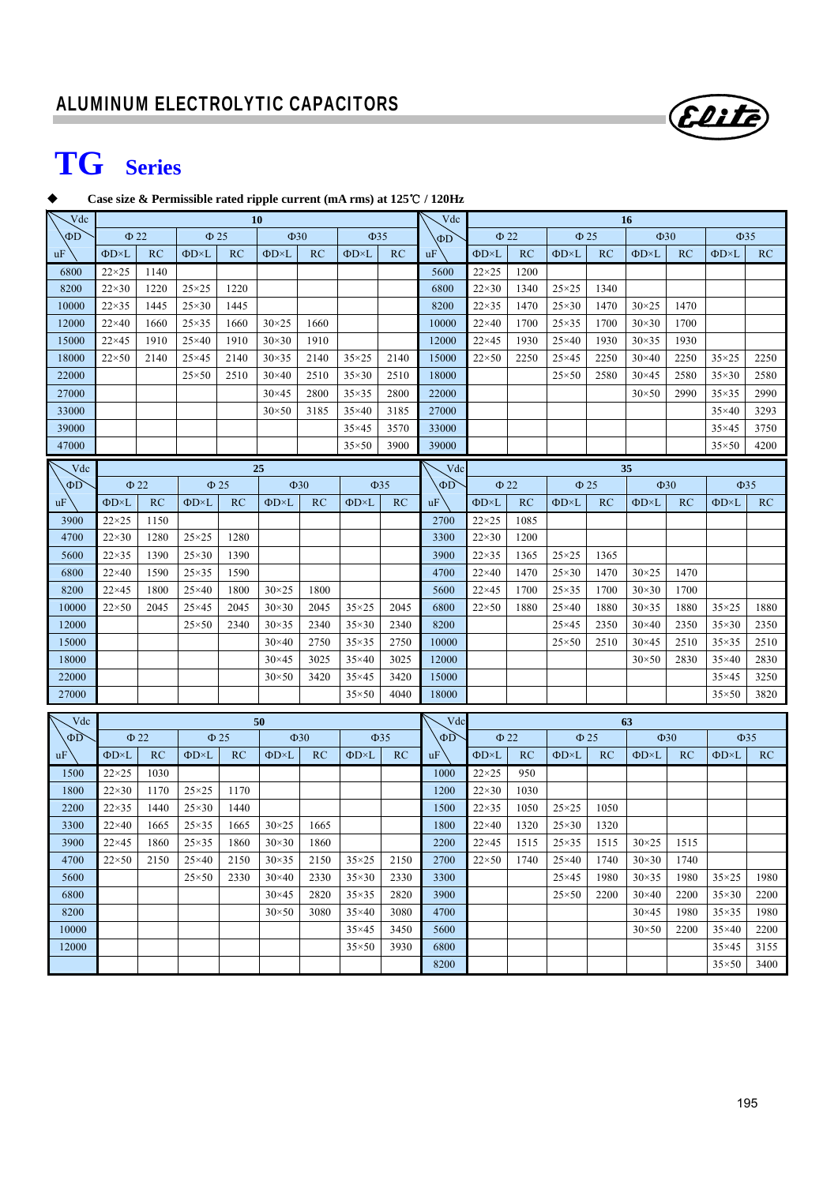# **TG Series**

#### **Case size & Permissible rated ripple current (mA rms) at 125 /** ℃ **120Hz**

| Vdc      | 10                  |      |                              |           |                     |           | Vdc                 | 16        |           |                               |      |                               |      |                     |      |                     |           |
|----------|---------------------|------|------------------------------|-----------|---------------------|-----------|---------------------|-----------|-----------|-------------------------------|------|-------------------------------|------|---------------------|------|---------------------|-----------|
| $\Phi$ D | $\Phi$ 22           |      | $\Phi$ 25                    |           | $\Phi$ 30           |           | $\Phi$ 35           |           | $\Phi$ D  | $\Phi$ 22                     |      | $\Phi$ 25                     |      | $\Phi$ 30           |      | $\Phi$ 35           |           |
| uF       | $\Phi$ D $\times$ L | RC   | $\Phi$ D $\times$ L          | RC        | $\Phi$ D $\times$ L | RC        | $\Phi$ D $\times$ L | RC        | uF        | $\Phi$ D $\times$ L           | RC   | $\Phi$ D×L                    | RC   | $\Phi$ D $\times$ L | RC   | $\Phi$ D $\times$ L | RC        |
| 6800     | $22\times25$        | 1140 |                              |           |                     |           |                     |           | 5600      | $22\times25$                  | 1200 |                               |      |                     |      |                     |           |
| 8200     | $22\times30$        | 1220 | $25\times25$                 | 1220      |                     |           |                     |           | 6800      | $22\times30$                  | 1340 | $25\times25$                  | 1340 |                     |      |                     |           |
| 10000    | $22\times35$        | 1445 | $25\times30$                 | 1445      |                     |           |                     |           | 8200      | $22\times35$                  | 1470 | $25\times30$                  | 1470 | $30\times25$        | 1470 |                     |           |
| 12000    | $22\times40$        | 1660 | $25\times35$                 | 1660      | $30\times25$        | 1660      |                     |           | 10000     | $22\times40$                  | 1700 | $25\times35$                  | 1700 | $30\times30$        | 1700 |                     |           |
| 15000    | $22\times 45$       | 1910 | $25\times40$                 | 1910      | $30\times30$        | 1910      |                     |           | 12000     | $22\times 45$                 | 1930 | $25\times40$                  | 1930 | $30\times35$        | 1930 |                     |           |
| 18000    | $22\times50$        | 2140 | $25\times 45$                | 2140      | $30\times35$        | 2140      | $35\times25$        | 2140      | 15000     | $22\times50$                  | 2250 | $25\times 45$                 | 2250 | $30\times40$        | 2250 | $35\times25$        | 2250      |
| 22000    |                     |      | $25\times50$                 | 2510      | $30\times40$        | 2510      | $35\times30$        | 2510      | 18000     |                               |      | $25 \times 50$                | 2580 | $30\times45$        | 2580 | $35\times30$        | 2580      |
| 27000    |                     |      |                              |           | $30\times45$        | 2800      | $35\times35$        | 2800      | 22000     |                               |      |                               |      | $30\times50$        | 2990 | $35\times35$        | 2990      |
| 33000    |                     |      |                              |           | $30\times50$        | 3185      | $35\times40$        | 3185      | 27000     |                               |      |                               |      |                     |      | $35\times40$        | 3293      |
| 39000    |                     |      |                              |           |                     |           | $35\times45$        | 3570      | 33000     |                               |      |                               |      |                     |      | $35\times45$        | 3750      |
| 47000    |                     |      |                              |           |                     |           | $35\times50$        | 3900      | 39000     |                               |      |                               |      |                     |      | $35\times50$        | 4200      |
| Vdc      |                     |      |                              |           | 25                  |           |                     |           | Vdc       |                               |      |                               |      | 35                  |      |                     |           |
| $\Phi$ D | $\Phi$ 22           |      | $\Phi$ 25                    |           | $\Phi$ 30           |           | $\Phi$ 35           |           | $\Phi$ D  | $\Phi$ 22                     |      | $\Phi$ 25                     |      | $\Phi$ 30           |      |                     | $\Phi$ 35 |
| uF       | $\Phi$ D $\times$ L | RC   | $\Phi$ D $\times$ L          | RC        | $\Phi$ D $\times$ L | RC        | $\Phi$ D $\times$ L | RC        | uF        | $\Phi$ D $\times$ L           | RC   | $\Phi$ D $\times$ L           | RC   | $\Phi$ D $\times$ L | RC   | $\Phi$ D $\times$ L | RC        |
| 3900     | $22\times25$        | 1150 |                              |           |                     |           |                     |           | 2700      | $22\times25$                  | 1085 |                               |      |                     |      |                     |           |
| 4700     | $22\times30$        | 1280 | $25 \times 25$               | 1280      |                     |           |                     |           | 3300      | $22\times30$                  | 1200 |                               |      |                     |      |                     |           |
| 5600     | $22\times35$        | 1390 | $25\times30$                 | 1390      |                     |           |                     |           | 3900      | $22\times35$                  | 1365 | $25 \times 25$                | 1365 |                     |      |                     |           |
| 6800     | $22\times40$        | 1590 | $25\times35$                 | 1590      |                     |           |                     |           | 4700      | $22\times40$                  | 1470 | $25\times30$                  | 1470 | $30\times25$        | 1470 |                     |           |
| 8200     | $22\times 45$       | 1800 | $25\times40$                 | 1800      | $30 \times 25$      | 1800      |                     |           | 5600      | $22\times 45$                 | 1700 | $25\times35$                  | 1700 | $30\times30$        | 1700 |                     |           |
| 10000    | $22\times50$        | 2045 | $25\times 45$                | 2045      | $30\times30$        | 2045      | $35\times25$        | 2045      | 6800      | $22\times50$                  | 1880 | $25\times40$                  | 1880 | $30\times35$        | 1880 | $35\times25$        | 1880      |
| 12000    |                     |      | $25\times50$                 | 2340      | $30\times35$        | 2340      | $35\times30$        | 2340      | 8200      |                               |      | $25\times 45$                 | 2350 | $30\times40$        | 2350 | $35\times30$        | 2350      |
| 15000    |                     |      |                              |           | $30\times40$        | 2750      | $35\times35$        | 2750      | 10000     |                               |      | $25\times50$                  | 2510 | $30\times45$        | 2510 | $35\times35$        | 2510      |
| 18000    |                     |      |                              |           | $30\times45$        | 3025      | $35\times40$        | 3025      | 12000     |                               |      |                               |      | $30\times50$        | 2830 | $35\times40$        | 2830      |
| 22000    |                     |      |                              |           | $30\times50$        | 3420      | $35\times45$        | 3420      | 15000     |                               |      |                               |      |                     |      | $35\times45$        | 3250      |
| 27000    |                     |      |                              |           |                     |           | $35\times50$        | 4040      | 18000     |                               |      |                               |      |                     |      | $35\times50$        | 3820      |
|          |                     |      |                              |           |                     |           |                     |           |           |                               |      |                               |      |                     |      |                     |           |
| Vdc      |                     |      |                              |           | 50                  |           |                     |           | Vdc       |                               |      | 63<br>$\Phi$ 25<br>$\Phi$ 30  |      |                     |      | $\Phi$ 35           |           |
| ΦD       | $\Phi$ 22           |      |                              | $\Phi$ 25 |                     | $\Phi$ 30 |                     | $\Phi$ 35 | $\Phi$ D  | $\Phi$ 22                     |      |                               |      |                     |      |                     |           |
| uF       | $\Phi$ D $\times$ L | RC   | $\Phi D \times L$            | RC        | $\Phi$ D $\times$ L | RC        | $\Phi$ D $\times$ L | RC        | <b>uF</b> | $\Phi$ D $\times$ L           | RC   | $\Phi$ D $\times$ L           | RC   | $\Phi$ D $\times$ L | RC   | $\Phi$ D $\times$ L | RC        |
| 1500     | $22\times25$        | 1030 |                              |           |                     |           |                     |           | 1000      | $22\times25$                  | 950  |                               |      |                     |      |                     |           |
| 1800     | $22\times30$        | 1170 | $25 \times 25$               | 1170      |                     |           |                     |           | 1200      | $22\times30$                  | 1030 |                               |      |                     |      |                     |           |
| 2200     | $22\times35$        | 1440 | $25\times30$<br>$25\times35$ | 1440      | $30 \times 25$      |           |                     |           | 1500      | $22\times35$                  | 1050 | $25\times25$                  | 1050 |                     |      |                     |           |
| 3300     | $22\times 40$       | 1665 |                              | 1665      |                     | 1665      |                     |           | 1800      | $22\times40$                  | 1320 | $25\times30$                  | 1320 |                     |      |                     |           |
| 3900     | $22\times 45$       | 1860 | $25\times35$                 | 1860      | $30\times30$        | 1860      | $35\times25$        |           | 2200      | $22\times 45$<br>$22\times50$ | 1515 | $25\times35$                  | 1515 | $30\times25$        | 1515 |                     |           |
| 4700     | $22\times50$        | 2150 | $25\times40$                 | 2150      | $30\times35$        | 2150      |                     | 2150      | 2700      |                               | 1740 | $25\times40$<br>$25\times 45$ | 1740 | $30\times30$        | 1740 |                     |           |
| 5600     |                     |      | $25\times50$                 | 2330      | $30\times40$        | 2330      | $35\times30$        | 2330      | 3300      |                               |      |                               | 1980 | $30\times35$        | 1980 | $35\times25$        | 1980      |
| 6800     |                     |      |                              |           | $30\times45$        | 2820      | $35\times35$        | 2820      | 3900      |                               |      | $25 \times 50$                | 2200 | $30\times40$        | 2200 | $35\times30$        | 2200      |
| 8200     |                     |      |                              |           | $30\times50$        | 3080      | $35\times40$        | 3080      | 4700      |                               |      |                               |      | $30\times45$        | 1980 | $35\times35$        | 1980      |
| 10000    |                     |      |                              |           |                     |           | $35\times45$        | 3450      | 5600      |                               |      |                               |      | $30\times50$        | 2200 | $35\times40$        | 2200      |
| 12000    |                     |      |                              |           |                     |           | $35\times50$        | 3930      | 6800      |                               |      |                               |      |                     |      | $35\times45$        | 3155      |
|          |                     |      |                              |           |                     |           |                     |           | 8200      |                               |      |                               |      |                     |      | $35\times50$        | 3400      |

Elite